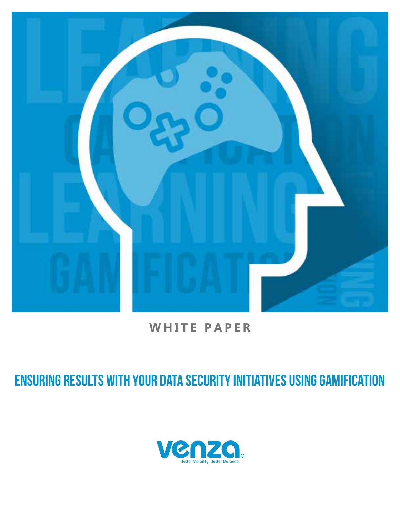

## **WHITE PAPER**

# ENSURING RESULTS WITH YOUR DATA SECURITY INITIATIVES USING GAMIFICATION

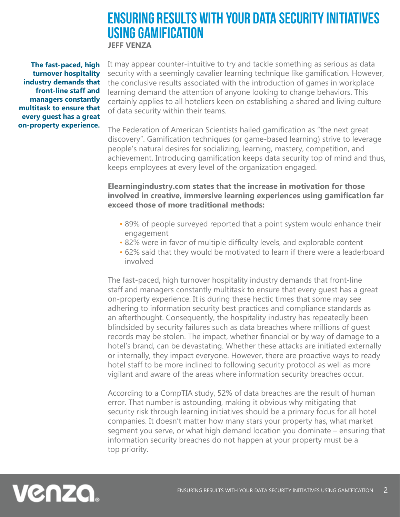### ENSURING RESULTS WITH YOUR DATA SECURITY INITIATIVES USING GAMIFICATION **JEFF VENZA**

**The fast-paced, high turnover hospitality industry demands that front-line staff and managers constantly multitask to ensure that every guest has a great on-property experience.**

It may appear counter-intuitive to try and tackle something as serious as data security with a seemingly cavalier learning technique like gamification. However, the conclusive results associated with the introduction of games in workplace learning demand the attention of anyone looking to change behaviors. This certainly applies to all hoteliers keen on establishing a shared and living culture of data security within their teams.

The Federation of American Scientists hailed gamification as "the next great discovery". Gamification techniques (or game-based learning) strive to leverage people's natural desires for socializing, learning, mastery, competition, and achievement. Introducing gamification keeps data security top of mind and thus, keeps employees at every level of the organization engaged.

#### **Elearningindustry.com states that the increase in motivation for those involved in creative, immersive learning experiences using gamification far exceed those of more traditional methods:**

- 89% of people surveyed reported that a point system would enhance their engagement
- 82% were in favor of multiple difficulty levels, and explorable content
- 62% said that they would be motivated to learn if there were a leaderboard involved

The fast-paced, high turnover hospitality industry demands that front-line staff and managers constantly multitask to ensure that every guest has a great on-property experience. It is during these hectic times that some may see adhering to information security best practices and compliance standards as an afterthought. Consequently, the hospitality industry has repeatedly been blindsided by security failures such as data breaches where millions of guest records may be stolen. The impact, whether financial or by way of damage to a hotel's brand, can be devastating. Whether these attacks are initiated externally or internally, they impact everyone. However, there are proactive ways to ready hotel staff to be more inclined to following security protocol as well as more vigilant and aware of the areas where information security breaches occur.

According to a CompTIA study, 52% of data breaches are the result of human error. That number is astounding, making it obvious why mitigating that security risk through learning initiatives should be a primary focus for all hotel companies. It doesn't matter how many stars your property has, what market segment you serve, or what high demand location you dominate – ensuring that information security breaches do not happen at your property must be a top priority.

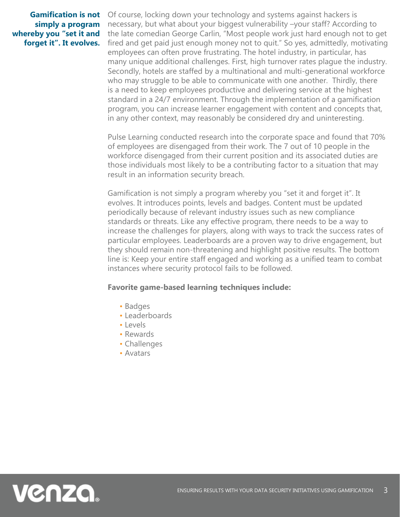### **simply a program whereby you "set it and forget it". It evolves.**

**Gamification is not** Of course, locking down your technology and systems against hackers is necessary, but what about your biggest vulnerability –your staff? According to the late comedian George Carlin, "Most people work just hard enough not to get fired and get paid just enough money not to quit." So yes, admittedly, motivating employees can often prove frustrating. The hotel industry, in particular, has many unique additional challenges. First, high turnover rates plague the industry. Secondly, hotels are staffed by a multinational and multi-generational workforce who may struggle to be able to communicate with one another. Thirdly, there is a need to keep employees productive and delivering service at the highest standard in a 24/7 environment. Through the implementation of a gamification program, you can increase learner engagement with content and concepts that, in any other context, may reasonably be considered dry and uninteresting.

> Pulse Learning conducted research into the corporate space and found that 70% of employees are disengaged from their work. The 7 out of 10 people in the workforce disengaged from their current position and its associated duties are those individuals most likely to be a contributing factor to a situation that may result in an information security breach.

> Gamification is not simply a program whereby you "set it and forget it". It evolves. It introduces points, levels and badges. Content must be updated periodically because of relevant industry issues such as new compliance standards or threats. Like any effective program, there needs to be a way to increase the challenges for players, along with ways to track the success rates of particular employees. Leaderboards are a proven way to drive engagement, but they should remain non-threatening and highlight positive results. The bottom line is: Keep your entire staff engaged and working as a unified team to combat instances where security protocol fails to be followed.

#### **Favorite game-based learning techniques include:**

- Badges
- Leaderboards
- Levels
- Rewards
- Challenges
- Avatars